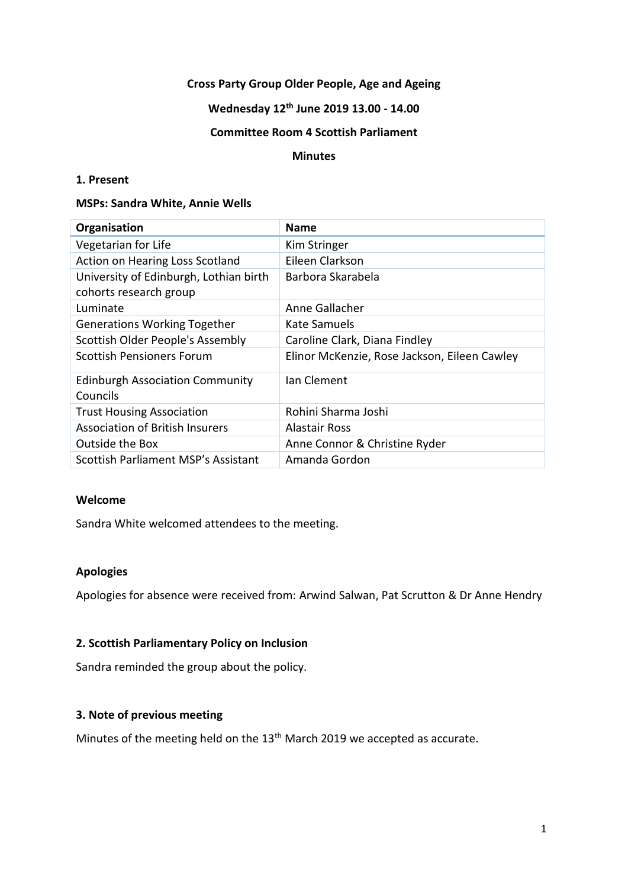### **Cross Party Group Older People, Age and Ageing**

## **Wednesday 12th June 2019 13.00 - 14.00**

### **Committee Room 4 Scottish Parliament**

#### **Minutes**

### **1. Present**

#### **MSPs: Sandra White, Annie Wells**

| Organisation                                                     | <b>Name</b>                                  |
|------------------------------------------------------------------|----------------------------------------------|
| Vegetarian for Life                                              | Kim Stringer                                 |
| Action on Hearing Loss Scotland                                  | Eileen Clarkson                              |
| University of Edinburgh, Lothian birth<br>cohorts research group | Barbora Skarabela                            |
| Luminate                                                         | Anne Gallacher                               |
| <b>Generations Working Together</b>                              | Kate Samuels                                 |
| Scottish Older People's Assembly                                 | Caroline Clark, Diana Findley                |
| <b>Scottish Pensioners Forum</b>                                 | Elinor McKenzie, Rose Jackson, Eileen Cawley |
| <b>Edinburgh Association Community</b><br>Councils               | Ian Clement                                  |
| <b>Trust Housing Association</b>                                 | Rohini Sharma Joshi                          |
| <b>Association of British Insurers</b>                           | Alastair Ross                                |
| Outside the Box                                                  | Anne Connor & Christine Ryder                |
| Scottish Parliament MSP's Assistant                              | Amanda Gordon                                |

#### **Welcome**

Sandra White welcomed attendees to the meeting.

### **Apologies**

Apologies for absence were received from: Arwind Salwan, Pat Scrutton & Dr Anne Hendry

### **2. Scottish Parliamentary Policy on Inclusion**

Sandra reminded the group about the policy.

### **3. Note of previous meeting**

Minutes of the meeting held on the 13<sup>th</sup> March 2019 we accepted as accurate.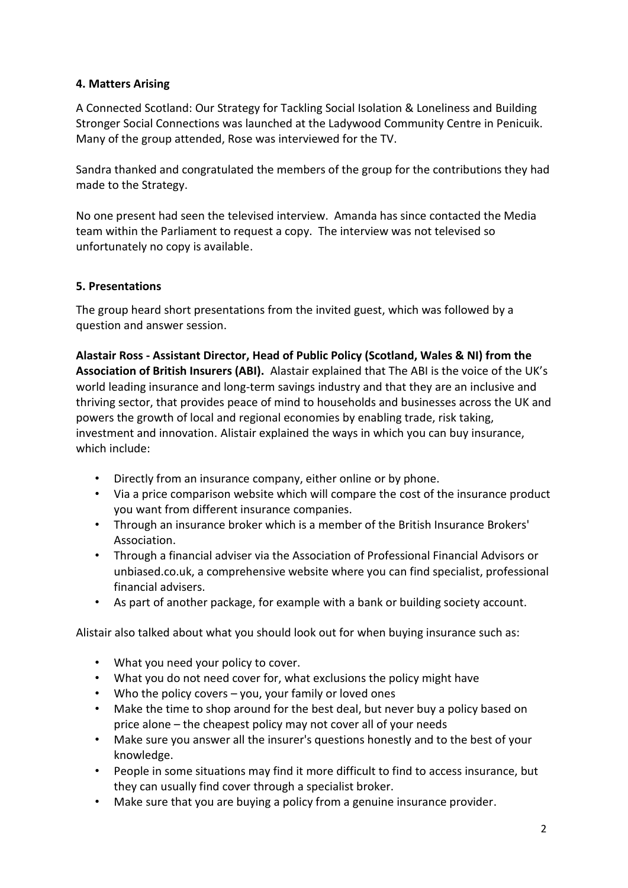# **4. Matters Arising**

A Connected Scotland: Our Strategy for Tackling Social Isolation & Loneliness and Building Stronger Social Connections was launched at the Ladywood Community Centre in Penicuik. Many of the group attended, Rose was interviewed for the TV.

Sandra thanked and congratulated the members of the group for the contributions they had made to the Strategy.

No one present had seen the televised interview. Amanda has since contacted the Media team within the Parliament to request a copy. The interview was not televised so unfortunately no copy is available.

# **5. Presentations**

The group heard short presentations from the invited guest, which was followed by a question and answer session.

**Alastair Ross - Assistant Director, Head of Public Policy (Scotland, Wales & NI) from the Association of British Insurers (ABI).** Alastair explained that The ABI is the voice of the UK's world leading insurance and long-term savings industry and that they are an inclusive and thriving sector, that provides peace of mind to households and businesses across the UK and powers the growth of local and regional economies by enabling trade, risk taking, investment and innovation. Alistair explained the ways in which you can buy insurance, which include:

- Directly from an insurance company, either online or by phone.
- Via a price comparison website which will compare the cost of the insurance product you want from different insurance companies.
- Through an insurance broker which is a member of the British Insurance Brokers' Association.
- Through a financial adviser via the Association of Professional Financial Advisors or unbiased.co.uk, a comprehensive website where you can find specialist, professional financial advisers.
- As part of another package, for example with a bank or building society account.

Alistair also talked about what you should look out for when buying insurance such as:

- What you need your policy to cover.
- What you do not need cover for, what exclusions the policy might have
- Who the policy covers you, your family or loved ones
- Make the time to shop around for the best deal, but never buy a policy based on price alone – the cheapest policy may not cover all of your needs
- Make sure you answer all the insurer's questions honestly and to the best of your knowledge.
- People in some situations may find it more difficult to find to access insurance, but they can usually find cover through a specialist broker.
- Make sure that you are buying a policy from a genuine insurance provider.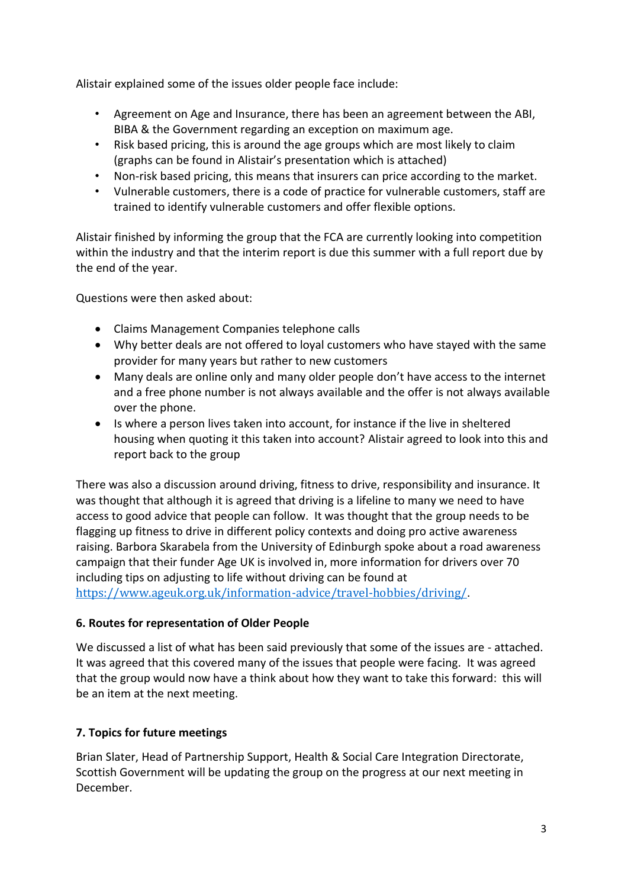Alistair explained some of the issues older people face include:

- Agreement on Age and Insurance, there has been an agreement between the ABI, BIBA & the Government regarding an exception on maximum age.
- Risk based pricing, this is around the age groups which are most likely to claim (graphs can be found in Alistair's presentation which is attached)
- Non-risk based pricing, this means that insurers can price according to the market.
- Vulnerable customers, there is a code of practice for vulnerable customers, staff are trained to identify vulnerable customers and offer flexible options.

Alistair finished by informing the group that the FCA are currently looking into competition within the industry and that the interim report is due this summer with a full report due by the end of the year.

Questions were then asked about:

- Claims Management Companies telephone calls
- Why better deals are not offered to loyal customers who have stayed with the same provider for many years but rather to new customers
- Many deals are online only and many older people don't have access to the internet and a free phone number is not always available and the offer is not always available over the phone.
- Is where a person lives taken into account, for instance if the live in sheltered housing when quoting it this taken into account? Alistair agreed to look into this and report back to the group

There was also a discussion around driving, fitness to drive, responsibility and insurance. It was thought that although it is agreed that driving is a lifeline to many we need to have access to good advice that people can follow. It was thought that the group needs to be flagging up fitness to drive in different policy contexts and doing pro active awareness raising. Barbora Skarabela from the University of Edinburgh spoke about a road awareness campaign that their funder Age UK is involved in, more information for drivers over 70 including tips on adjusting to life without driving can be found at <https://www.ageuk.org.uk/information-advice/travel-hobbies/driving/>.

## **6. Routes for representation of Older People**

We discussed a list of what has been said previously that some of the issues are - attached. It was agreed that this covered many of the issues that people were facing. It was agreed that the group would now have a think about how they want to take this forward: this will be an item at the next meeting.

## **7. Topics for future meetings**

Brian Slater, Head of Partnership Support, Health & Social Care Integration Directorate, Scottish Government will be updating the group on the progress at our next meeting in December.